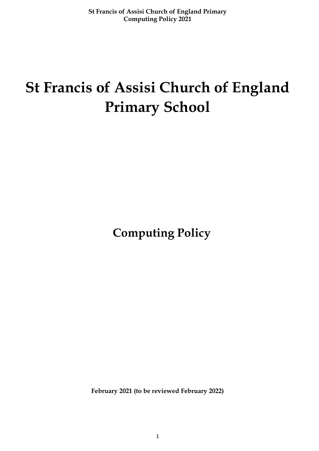# **St Francis of Assisi Church of England Primary School**

 **Computing Policy**

**February 2021 (to be reviewed February 2022)**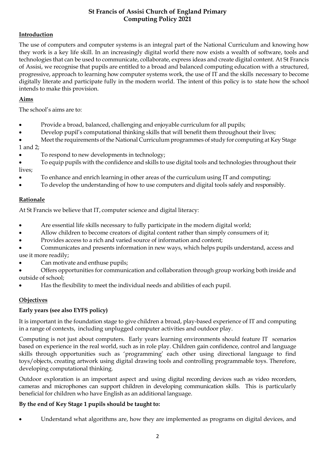## **Introduction**

The use of computers and computer systems is an integral part of the National Curriculum and knowing how they work is a key life skill. In an increasingly digital world there now exists a wealth of software, tools and technologies that can be used to communicate, collaborate, express ideas and create digital content. At St Francis of Assisi, we recognise that pupils are entitled to a broad and balanced computing education with a structured, progressive, approach to learning how computer systems work, the use of IT and the skills necessary to become digitally literate and participate fully in the modern world. The intent of this policy is to state how the school intends to make this provision.

## **Aims**

The school's aims are to:

- Provide a broad, balanced, challenging and enjoyable curriculum for all pupils;
- Develop pupil's computational thinking skills that will benefit them throughout their lives;
- Meet the requirements of the National Curriculum programmes of study for computing at Key Stage 1 and 2;
- To respond to new developments in technology;
- To equip pupils with the confidence and skills to use digital tools and technologies throughout their lives;
- To enhance and enrich learning in other areas of the curriculum using IT and computing;
- To develop the understanding of how to use computers and digital tools safely and responsibly.

# **Rationale**

At St Francis we believe that IT, computer science and digital literacy:

- Are essential life skills necessary to fully participate in the modern digital world;
- Allow children to become creators of digital content rather than simply consumers of it;
- Provides access to a rich and varied source of information and content;
- Communicates and presents information in new ways, which helps pupils understand, access and use it more readily;
- Can motivate and enthuse pupils;
- Offers opportunities for communication and collaboration through group working both inside and outside of school;
- Has the flexibility to meet the individual needs and abilities of each pupil.

# **Objectives**

## **Early years (see also EYFS policy)**

It is important in the foundation stage to give children a broad, play-based experience of IT and computing in a range of contexts, including unplugged computer activities and outdoor play.

Computing is not just about computers. Early years learning environments should feature IT scenarios based on experience in the real world, such as in role play. Children gain confidence, control and language skills through opportunities such as 'programming' each other using directional language to find toys/objects, creating artwork using digital drawing tools and controlling programmable toys. Therefore, developing computational thinking.

Outdoor exploration is an important aspect and using digital recording devices such as video recorders, cameras and microphones can support children in developing communication skills. This is particularly beneficial for children who have English as an additional language.

## **By the end of Key Stage 1 pupils should be taught to:**

• Understand what algorithms are, how they are implemented as programs on digital devices, and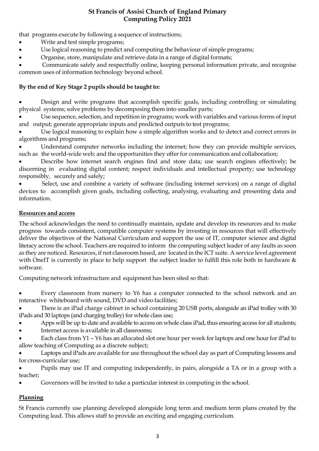that programs execute by following a sequence of instructions;

- Write and test simple programs;
- Use logical reasoning to predict and computing the behaviour of simple programs;
- Organise, store, manipulate and retrieve data in a range of digital formats;

• Communicate safely and respectfully online, keeping personal information private, and recognise common uses of information technology beyond school.

## **By the end of Key Stage 2 pupils should be taught to:**

• Design and write programs that accomplish specific goals, including controlling or simulating physical systems; solve problems by decomposing them into smaller parts;

Use sequence, selection, and repetition in programs; work with variables and various forms of input and output; generate appropriate inputs and predicted outputs to test programs;

Use logical reasoning to explain how a simple algorithm works and to detect and correct errors in algorithms and programs;

Understand computer networks including the internet; how they can provide multiple services, such as the world-wide web; and the opportunities they offer for communication and collaboration;

• Describe how internet search engines find and store data; use search engines effectively; be discerning in evaluating digital content; respect individuals and intellectual property; use technology responsibly, securely and safely;

• Select, use and combine a variety of software (including internet services) on a range of digital devices to accomplish given goals, including collecting, analysing, evaluating and presenting data and information.

#### **Resources and access**

The school acknowledges the need to continually maintain, update and develop its resources and to make progress towards consistent, compatible computer systems by investing in resources that will effectively deliver the objectives of the National Curriculum and support the use of IT, computer science and digital literacy across the school. Teachers are required to inform the computing subject leader of any faults as soon as they are noticed. Resources, if not classroom based, are located in the ICT suite. A service level agreement with OneIT is currently in place to help support the subject leader to fulfill this role both in hardware & software.

Computing network infrastructure and equipment has been sited so that:

• Every classroom from nursery to Y6 has a computer connected to the school network and an interactive whiteboard with sound, DVD and video facilities;

• There is an iPad charge cabinet in school containing 20 USB ports, alongside an iPad trolley with 30 iPads and 30 laptops (and charging trolley) for whole class use;

- Apps will be up to date and available to access on whole class iPad, thus ensuring access for all students;
- Internet access is available in all classrooms;

• Each class from Y1 – Y6 has an allocated slot one hour per week for laptops and one hour for iPad to allow teaching of Computing as a discrete subject;

• Laptops and iPads are available for use throughout the school day as part of Computing lessons and for cross-curricular use;

• Pupils may use IT and computing independently, in pairs, alongside a TA or in a group with a teacher;

• Governors will be invited to take a particular interest in computing in the school.

# **Planning**

St Francis currently use planning developed alongside long term and medium term plans created by the Computing lead. This allows staff to provide an exciting and engaging curriculum.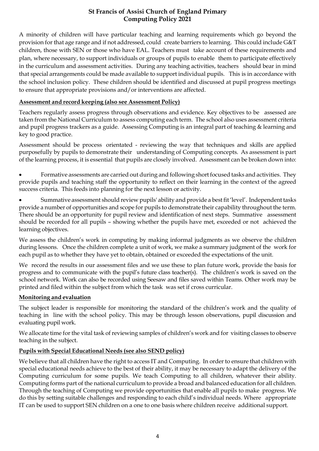A minority of children will have particular teaching and learning requirements which go beyond the provision for that age range and if not addressed, could create barriers to learning. This could include G&T children, those with SEN or those who have EAL. Teachers must take account of these requirements and plan, where necessary, to support individuals or groups of pupils to enable them to participate effectively in the curriculum and assessment activities. During any teaching activities, teachers should bear in mind that special arrangements could be made available to support individual pupils. This is in accordance with the school inclusion policy. These children should be identified and discussed at pupil progress meetings to ensure that appropriate provisions and/or interventions are affected.

#### **Assessment and record keeping (also see Assessment Policy)**

Teachers regularly assess progress through observations and evidence. Key objectives to be assessed are taken from the National Curriculum to assess computing each term. The school also uses assessment criteria and pupil progress trackers as a guide. Assessing Computing is an integral part of teaching & learning and key to good practice.

Assessment should be process orientated - reviewing the way that techniques and skills are applied purposefully by pupils to demonstrate their understanding of Computing concepts. As assessment is part of the learning process, it is essential that pupils are closely involved. Assessment can be broken down into:

• Formative assessments are carried out during and following short focused tasks and activities. They provide pupils and teaching staff the opportunity to reflect on their learning in the context of the agreed success criteria. This feeds into planning for the next lesson or activity.

• Summative assessment should review pupils' ability and provide a bestfit 'level'. Independent tasks provide a number of opportunities and scope for pupils to demonstrate their capability throughout the term. There should be an opportunity for pupil review and identification of next steps. Summative assessment should be recorded for all pupils – showing whether the pupils have met, exceeded or not achieved the learning objectives.

We assess the children's work in computing by making informal judgments as we observe the children during lessons. Once the children complete a unit of work, we make a summary judgment of the work for each pupil as to whether they have yet to obtain, obtained or exceeded the expectations of the unit.

We record the results in our assessment files and we use these to plan future work, provide the basis for progress and to communicate with the pupil's future class teacher(s). The children's work is saved on the school network. Work can also be recorded using Seesaw and files saved within Teams. Other work may be printed and filed within the subject from which the task was set if cross curricular.

## **Monitoring and evaluation**

The subject leader is responsible for monitoring the standard of the children's work and the quality of teaching in line with the school policy. This may be through lesson observations, pupil discussion and evaluating pupil work.

We allocate time for the vital task of reviewing samples of children's work and for visiting classes to observe teaching in the subject.

## **Pupils with Special Educational Needs (see also SEND policy)**

We believe that all children have the right to access IT and Computing. In order to ensure that children with special educational needs achieve to the best of their ability, it may be necessary to adapt the delivery of the Computing curriculum for some pupils. We teach Computing to all children, whatever their ability. Computing forms part of the national curriculum to provide a broad and balanced education for all children. Through the teaching of Computing we provide opportunities that enable all pupils to make progress. We do this by setting suitable challenges and responding to each child's individual needs. Where appropriate IT can be used to support SEN children on a one to one basis where children receive additional support.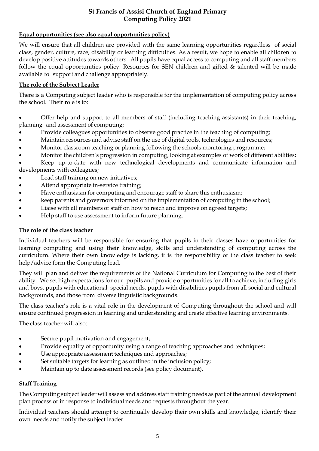## **Equal opportunities (see also equal opportunities policy)**

We will ensure that all children are provided with the same learning opportunities regardless of social class, gender, culture, race, disability or learning difficulties. As a result, we hope to enable all children to develop positive attitudes towards others. All pupils have equal access to computing and all staff members follow the equal opportunities policy. Resources for SEN children and gifted & talented will be made available to support and challenge appropriately.

#### **The role of the Subject Leader**

There is a Computing subject leader who is responsible for the implementation of computing policy across the school. Their role is to:

• Offer help and support to all members of staff (including teaching assistants) in their teaching, planning and assessment of computing;

- Provide colleagues opportunities to observe good practice in the teaching of computing;
- Maintain resources and advise staff on the use of digital tools, technologies and resources;
- Monitor classroom teaching or planning following the schools monitoring programme;
- Monitor the children's progression in computing, looking at examples of work of different abilities;

• Keep up-to-date with new technological developments and communicate information and developments with colleagues;

- Lead staff training on new initiatives;
- Attend appropriate in-service training;
- Have enthusiasm for computing and encourage staff to share this enthusiasm;
- keep parents and governors informed on the implementation of computing in the school;
- Liaise with all members of staff on how to reach and improve on agreed targets;
- Help staff to use assessment to inform future planning.

#### **The role of the class teacher**

Individual teachers will be responsible for ensuring that pupils in their classes have opportunities for learning computing and using their knowledge, skills and understanding of computing across the curriculum. Where their own knowledge is lacking, it is the responsibility of the class teacher to seek help/advice form the Computing lead.

They will plan and deliver the requirements of the National Curriculum for Computing to the best of their ability. We set high expectations for our pupils and provide opportunities for all to achieve, including girls and boys, pupils with educational special needs, pupils with disabilities pupils from all social and cultural backgrounds, and those from diverse linguistic backgrounds.

The class teacher's role is a vital role in the development of Computing throughout the school and will ensure continued progression in learning and understanding and create effective learning environments.

The class teacher will also:

- Secure pupil motivation and engagement;
- Provide equality of opportunity using a range of teaching approaches and techniques;
- Use appropriate assessment techniques and approaches;
- Set suitable targets for learning as outlined in the inclusion policy;
- Maintain up to date assessment records (see policy document).

#### **Staff Training**

The Computing subject leader will assess and address staff training needs as part of the annual development plan process or in response to individual needs and requests throughout the year.

Individual teachers should attempt to continually develop their own skills and knowledge, identify their own needs and notify the subject leader.